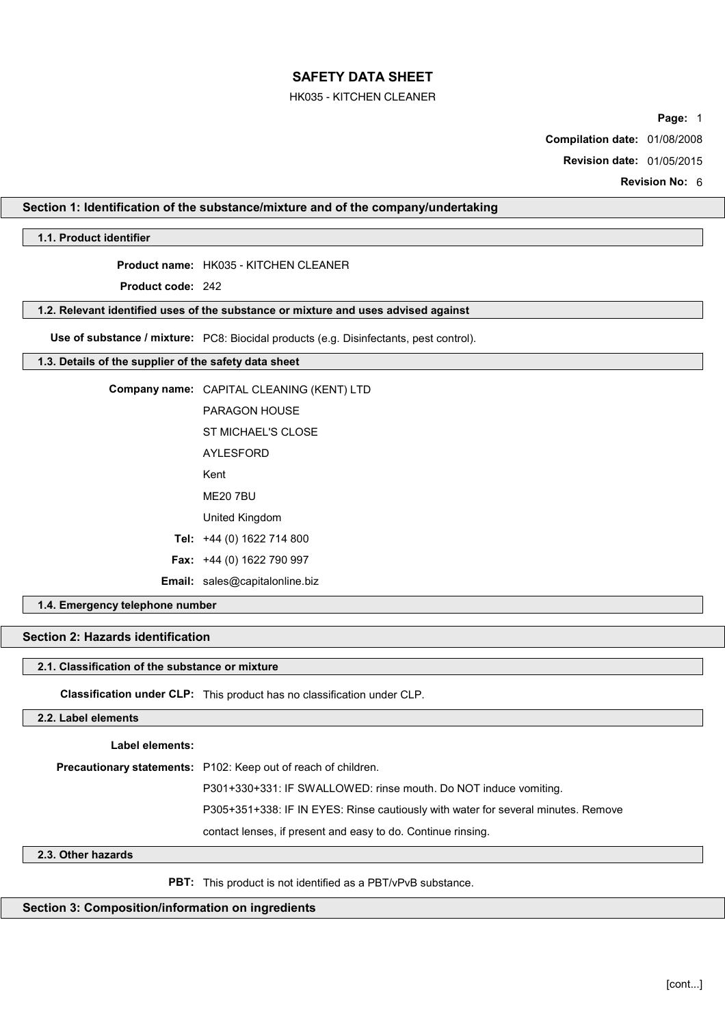## HK035 - KITCHEN CLEANER

**Page:** 1

**Compilation date:** 01/08/2008

**Revision date:** 01/05/2015

**Revision No:** 6

# **Section 1: Identification of the substance/mixture and of the company/undertaking**

# **1.1. Product identifier**

**Product name:** HK035 - KITCHEN CLEANER

**Product code:** 242

### **1.2. Relevant identified uses of the substance or mixture and uses advised against**

**Use of substance / mixture:** PC8: Biocidal products (e.g. Disinfectants, pest control).

### **1.3. Details of the supplier of the safety data sheet**

| Company name: CAPITAL CLEANING (KENT) LTD |  |  |  |  |
|-------------------------------------------|--|--|--|--|
|-------------------------------------------|--|--|--|--|

- PARAGON HOUSE ST MICHAFI'S CLOSE
	- AYLESFORD
	- Kent
	- ME20 7BU
- United Kingdom
- **Tel:** +44 (0) 1622 714 800
- **Fax:** +44 (0) 1622 790 997
- **Email:** sales@capitalonline.biz

# **1.4. Emergency telephone number**

# **Section 2: Hazards identification**

## **2.1. Classification of the substance or mixture**

**Classification under CLP:** This product has no classification under CLP.

## **2.2. Label elements**

**Label elements:**

**Precautionary statements:** P102: Keep out of reach of children.

P301+330+331: IF SWALLOWED: rinse mouth. Do NOT induce vomiting.

P305+351+338: IF IN EYES: Rinse cautiously with water for several minutes. Remove

contact lenses, if present and easy to do. Continue rinsing.

## **2.3. Other hazards**

**PBT:** This product is not identified as a PBT/vPvB substance.

# **Section 3: Composition/information on ingredients**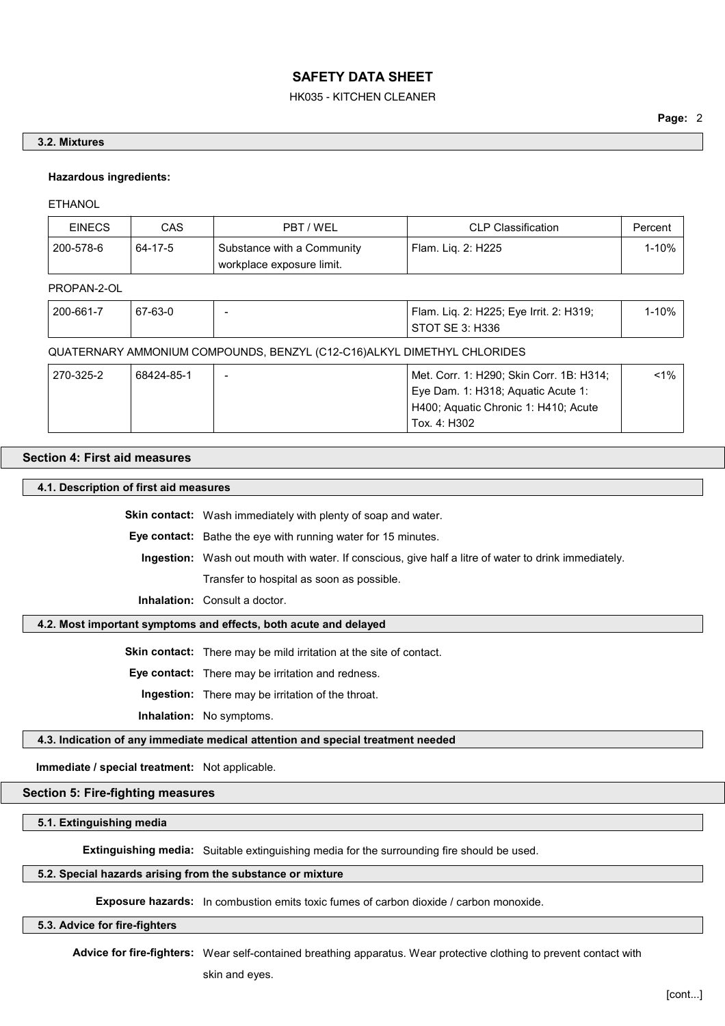## HK035 - KITCHEN CLEANER

## **Page:** 2

#### **3.2. Mixtures**

### **Hazardous ingredients:**

ETHANOL

| <b>EINECS</b> | CAS     | PBT / WEL                  | <b>CLP Classification</b> | Percent |
|---------------|---------|----------------------------|---------------------------|---------|
| 200-578-6     | 64-17-5 | Substance with a Community | ՝ Flam. Lig. 2: H225      | $-10%$  |
|               |         | workplace exposure limit.  |                           |         |

#### PROPAN-2-OL

| 200-661-7 | 67-63-0 | Flam. Liq. 2: H225; Eye Irrit. 2: H319; | 1-10% |
|-----------|---------|-----------------------------------------|-------|
|           |         | STOT SE 3: H336                         |       |

## QUATERNARY AMMONIUM COMPOUNDS, BENZYL (C12-C16)ALKYL DIMETHYL CHLORIDES

| 270-325-2 | 68424-85-1 | $\overline{\phantom{0}}$ | Met. Corr. 1: H290; Skin Corr. 1B: H314; | $< 1\%$ |
|-----------|------------|--------------------------|------------------------------------------|---------|
|           |            |                          | Eye Dam. 1: H318; Aguatic Acute 1:       |         |
|           |            |                          | H400; Aquatic Chronic 1: H410; Acute     |         |
|           |            |                          | Tox. 4: H302                             |         |

# **Section 4: First aid measures**

### **4.1. Description of first aid measures**

**Skin contact:** Wash immediately with plenty of soap and water.

**Eye contact:** Bathe the eye with running water for 15 minutes.

**Ingestion:** Wash out mouth with water. If conscious, give half a litre of water to drink immediately. Transfer to hospital as soon as possible.

**Inhalation:** Consult a doctor.

## **4.2. Most important symptoms and effects, both acute and delayed**

**Skin contact:** There may be mild irritation at the site of contact.

**Eye contact:** There may be irritation and redness.

**Ingestion:** There may be irritation of the throat.

**Inhalation:** No symptoms.

## **4.3. Indication of any immediate medical attention and special treatment needed**

**Immediate / special treatment:** Not applicable.

# **Section 5: Fire-fighting measures**

**5.1. Extinguishing media**

**Extinguishing media:** Suitable extinguishing media for the surrounding fire should be used.

## **5.2. Special hazards arising from the substance or mixture**

**Exposure hazards:** In combustion emits toxic fumes of carbon dioxide / carbon monoxide.

## **5.3. Advice for fire-fighters**

**Advice for fire-fighters:** Wear self-contained breathing apparatus. Wear protective clothing to prevent contact with

skin and eyes.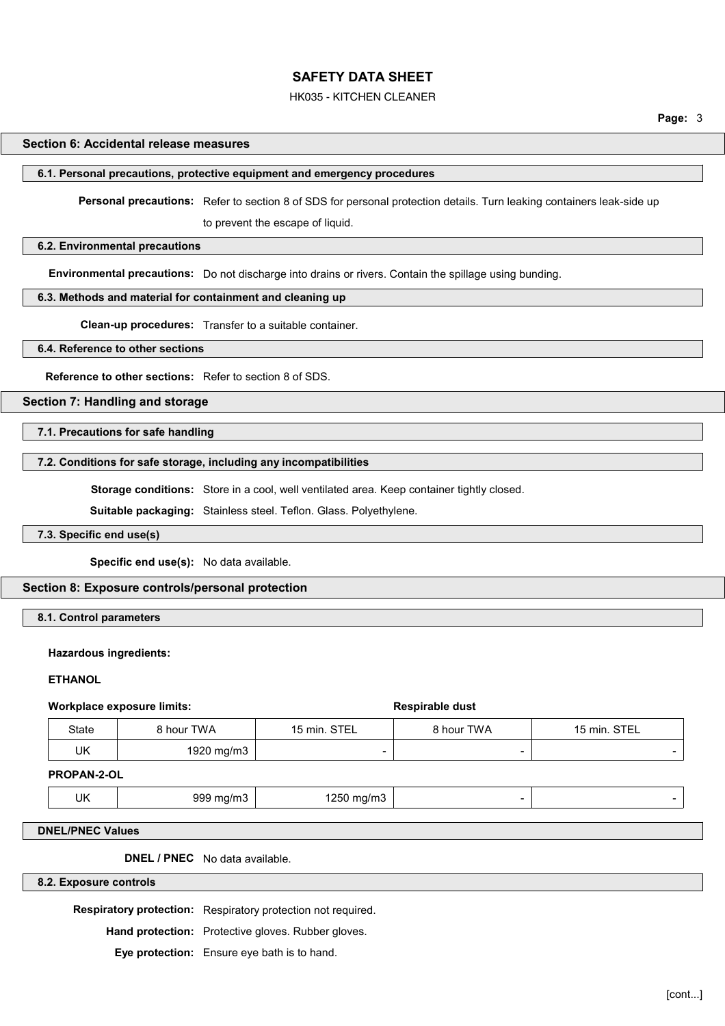### HK035 - KITCHEN CLEANER

## **Section 6: Accidental release measures**

#### **6.1. Personal precautions, protective equipment and emergency procedures**

**Personal precautions:** Refer to section 8 of SDS for personal protection details. Turn leaking containers leak-side up

to prevent the escape of liquid.

## **6.2. Environmental precautions**

**Environmental precautions:** Do not discharge into drains or rivers. Contain the spillage using bunding.

## **6.3. Methods and material for containment and cleaning up**

**Clean-up procedures:** Transfer to a suitable container.

#### **6.4. Reference to other sections**

**Reference to other sections:** Refer to section 8 of SDS.

## **Section 7: Handling and storage**

# **7.1. Precautions for safe handling**

## **7.2. Conditions for safe storage, including any incompatibilities**

**Storage conditions:** Store in a cool, well ventilated area. Keep container tightly closed.

**Suitable packaging:** Stainless steel. Teflon. Glass. Polyethylene.

# **7.3. Specific end use(s)**

**Specific end use(s):** No data available.

#### **Section 8: Exposure controls/personal protection**

## **8.1. Control parameters**

#### **Hazardous ingredients:**

#### **ETHANOL**

#### **Workplace exposure limits:**  $\qquad \qquad$  **Respirable dust**

| <b>State</b> | ∖ hour TWA | 15 min. STEL | ` hour TWA | 15 min. STEL |
|--------------|------------|--------------|------------|--------------|
| UK           | 1920 mg/m3 |              | ۰          |              |

#### **PROPAN-2-OL**

| UK |  |
|----|--|
|----|--|

999 mg/m3  $\vert$  -  $\vert$  1250 mg/m3  $\vert$  -  $\vert$  -  $\vert$  -  $\vert$  -  $\vert$  -  $\vert$  -  $\vert$  -  $\vert$  -  $\vert$  -  $\vert$  -  $\vert$  -  $\vert$  -  $\vert$  -  $\vert$  -  $\vert$  -  $\vert$  -  $\vert$  -  $\vert$  -  $\vert$  -  $\vert$  -  $\vert$  -  $\vert$  -  $\vert$  -  $\vert$  -  $\vert$  -  $\vert$  -  $\vert$  -

#### **DNEL/PNEC Values**

**DNEL / PNEC** No data available.

## **8.2. Exposure controls**

**Respiratory protection:** Respiratory protection not required.

**Hand protection:** Protective gloves. Rubber gloves.

**Eye protection:** Ensure eye bath is to hand.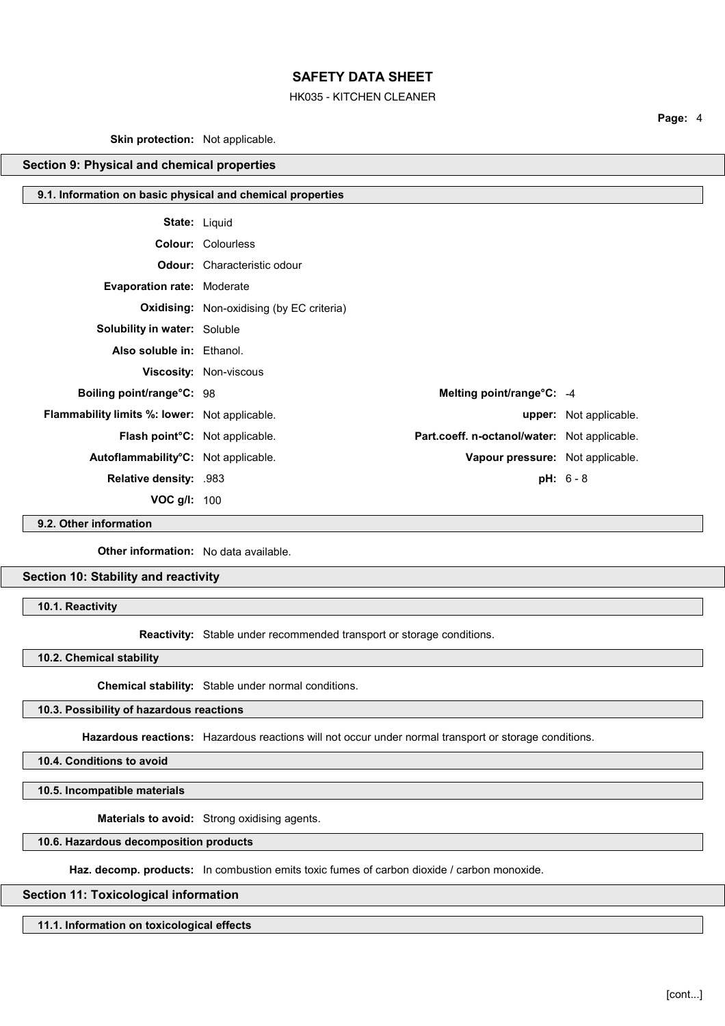## HK035 - KITCHEN CLEANER

**Page:** 4

**Skin protection:** Not applicable.

# **Section 9: Physical and chemical properties**

## **9.1. Information on basic physical and chemical properties**

| <b>State: Liquid</b>                          |                                                  |                                              |                               |
|-----------------------------------------------|--------------------------------------------------|----------------------------------------------|-------------------------------|
|                                               | <b>Colour: Colourless</b>                        |                                              |                               |
|                                               | <b>Odour:</b> Characteristic odour               |                                              |                               |
| <b>Evaporation rate: Moderate</b>             |                                                  |                                              |                               |
|                                               | <b>Oxidising:</b> Non-oxidising (by EC criteria) |                                              |                               |
| <b>Solubility in water: Soluble</b>           |                                                  |                                              |                               |
| Also soluble in: Ethanol.                     |                                                  |                                              |                               |
|                                               | <b>Viscosity: Non-viscous</b>                    |                                              |                               |
| Boiling point/range°C: 98                     |                                                  | Melting point/range°C: -4                    |                               |
| Flammability limits %: lower: Not applicable. |                                                  |                                              | <b>upper:</b> Not applicable. |
| Flash point <sup>°</sup> C: Not applicable.   |                                                  | Part.coeff. n-octanol/water: Not applicable. |                               |
| Autoflammability°C: Not applicable.           |                                                  | Vapour pressure: Not applicable.             |                               |
| Relative density: .983                        |                                                  |                                              | $pH: 6 - 8$                   |
| VOC $g/l$ : 100                               |                                                  |                                              |                               |

**9.2. Other information**

**Other information:** No data available.

**Section 10: Stability and reactivity**

**10.1. Reactivity**

**Reactivity:** Stable under recommended transport or storage conditions.

**10.2. Chemical stability**

**Chemical stability:** Stable under normal conditions.

## **10.3. Possibility of hazardous reactions**

**Hazardous reactions:** Hazardous reactions will not occur under normal transport or storage conditions.

**10.4. Conditions to avoid**

**10.5. Incompatible materials**

**Materials to avoid:** Strong oxidising agents.

**10.6. Hazardous decomposition products**

Haz. decomp. products: In combustion emits toxic fumes of carbon dioxide / carbon monoxide.

## **Section 11: Toxicological information**

**11.1. Information on toxicological effects**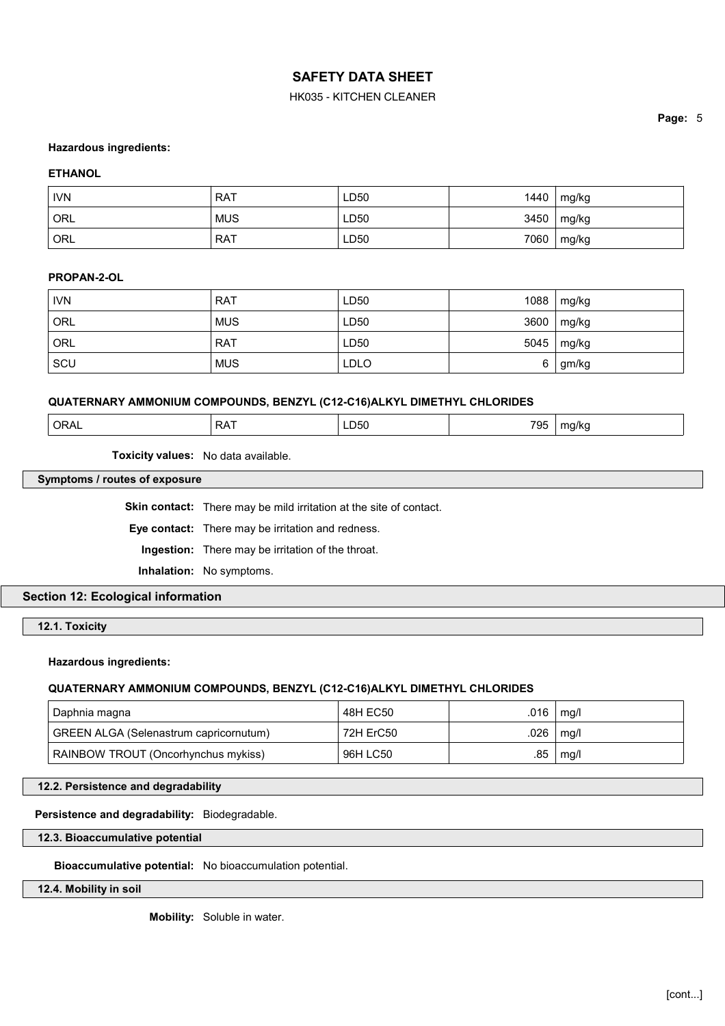# HK035 - KITCHEN CLEANER

## **Hazardous ingredients:**

## **ETHANOL**

| <b>IVN</b> | <b>RAT</b> | LD50 | 1440 | mg/kg |
|------------|------------|------|------|-------|
| ORL        | <b>MUS</b> | LD50 | 3450 | mg/kg |
| ORL        | <b>RAT</b> | LD50 | 7060 | mg/kg |

## **PROPAN-2-OL**

| <b>IVN</b> | <b>RAT</b> | LD50        | 1088 | mg/kg        |
|------------|------------|-------------|------|--------------|
| ORL        | <b>MUS</b> | LD50        | 3600 | $\mid$ mg/kg |
| <b>ORL</b> | . RAT      | LD50        |      | 5045   mg/kg |
| SCU        | <b>MUS</b> | <b>LDLO</b> |      | 6 gm/kg      |

## **QUATERNARY AMMONIUM COMPOUNDS, BENZYL (C12-C16)ALKYL DIMETHYL CHLORIDES**

| 705<br>ORAL<br>$\sim$ $\sim$<br>م د<br>a/kc<br>്യാ∪<br>тн<br>v<br>7 J J<br>. . |
|--------------------------------------------------------------------------------|
|--------------------------------------------------------------------------------|

**Toxicity values:** No data available.

# **Symptoms / routes of exposure**

**Skin contact:** There may be mild irritation at the site of contact.

**Eye contact:** There may be irritation and redness.

**Ingestion:** There may be irritation of the throat.

**Inhalation:** No symptoms.

**Section 12: Ecological information**

**12.1. Toxicity**

**Hazardous ingredients:**

# **QUATERNARY AMMONIUM COMPOUNDS, BENZYL (C12-C16)ALKYL DIMETHYL CHLORIDES**

| Daphnia magna                          | 48H EC50  | .016 | ma/l        |
|----------------------------------------|-----------|------|-------------|
| GREEN ALGA (Selenastrum capricornutum) | 72H ErC50 |      | .026   mq/l |
| RAINBOW TROUT (Oncorhynchus mykiss)    | 96H LC50  | .85  | mq/l        |

## **12.2. Persistence and degradability**

**Persistence and degradability:** Biodegradable.

**12.3. Bioaccumulative potential**

**Bioaccumulative potential:** No bioaccumulation potential.

**12.4. Mobility in soil**

**Mobility:** Soluble in water.